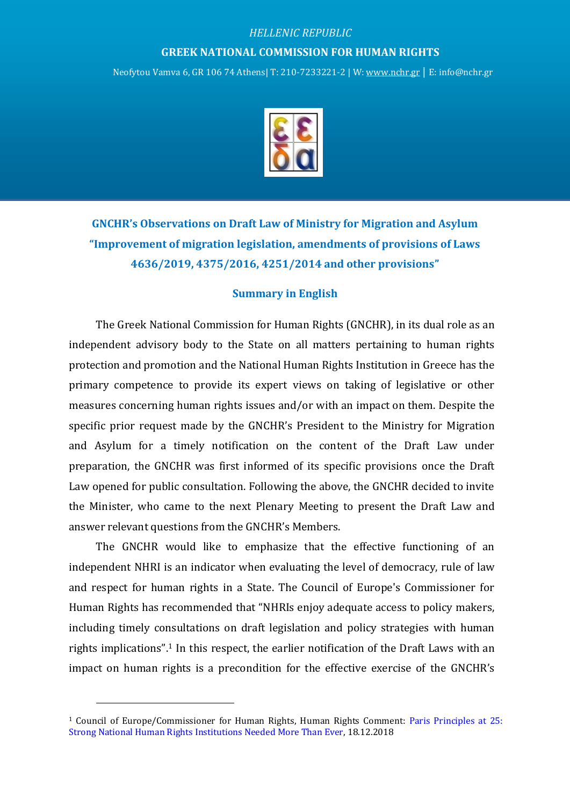## *HELLENIC REPUBLIC* **GREEK NATIONAL COMMISSION FOR HUMAN RIGHTS**

Neofytou Vamva 6, GR 106 74 Athens| Τ: 210-7233221-2 | W[: www.nchr.gr](http://www.nchr.gr/) | E: info@nchr.gr



**GNCHR's Observations on Draft Law of Ministry for Migration and Asylum "Improvement of migration legislation, amendments of provisions of Laws 4636/2019, 4375/2016, 4251/2014 and other provisions"**

## **Summary in English**

The Greek National Commission for Human Rights (GNCHR), in its dual role as an independent advisory body to the State on all matters pertaining to human rights protection and promotion and the National Human Rights Institution in Greece has the primary competence to provide its expert views on taking of legislative or other measures concerning human rights issues and/or with an impact on them. Despite the specific prior request made by the GNCHR's President to the Ministry for Migration and Asylum for a timely notification on the content of the Draft Law under preparation, the GNCHR was first informed of its specific provisions once the Draft Law opened for public consultation. Following the above, the GNCHR decided to invite the Minister, who came to the next Plenary Meeting to present the Draft Law and answer relevant questions from the GNCHR's Members.

The GNCHR would like to emphasize that the effective functioning of an independent NHRI is an indicator when evaluating the level of democracy, rule of law and respect for human rights in a State. The Council of Europe's Commissioner for Human Rights has recommended that "NHRIs enjoy adequate access to policy makers, including timely consultations on draft legislation and policy strategies with human rights implications".<sup>1</sup> In this respect, the earlier notification of the Draft Laws with an impact on human rights is a precondition for the effective exercise of the GNCHR's

<sup>1</sup> Council of Europe/Commissioner for Human Rights, Human Rights Comment: [Paris Principles at 25:](https://www.coe.int/en/web/commissioner/-/paris-principles-at-25-strong-national-human-rights-institutions-needed-more-than-ever)  [Strong National Human Rights Institutions Needed More Than Ever,](https://www.coe.int/en/web/commissioner/-/paris-principles-at-25-strong-national-human-rights-institutions-needed-more-than-ever) 18.12.2018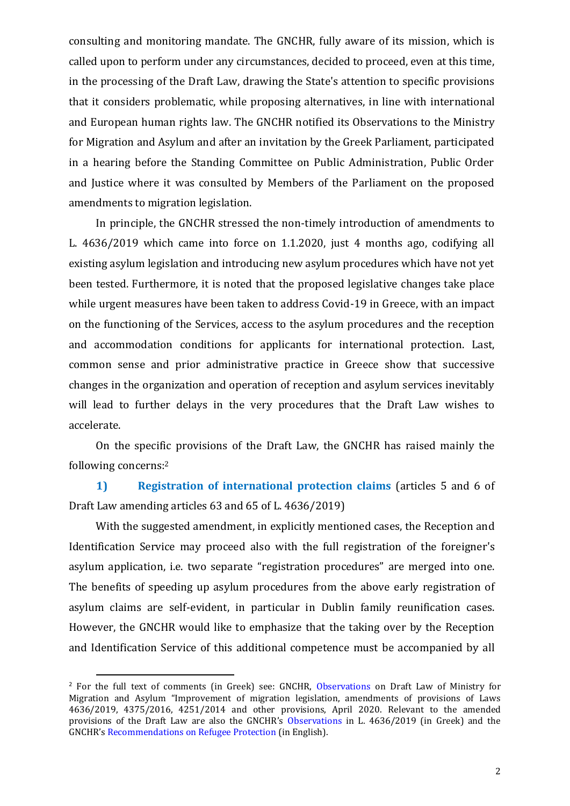consulting and monitoring mandate. The GNCHR, fully aware of its mission, which is called upon to perform under any circumstances, decided to proceed, even at this time, in the processing of the Draft Law, drawing the State's attention to specific provisions that it considers problematic, while proposing alternatives, in line with international and European human rights law. The GNCHR notified its Observations to the Ministry for Migration and Asylum and after an invitation by the Greek Parliament, participated in a hearing before the Standing Committee on Public Administration, Public Order and Justice where it was consulted by Members of the Parliament on the proposed amendments to migration legislation.

In principle, the GNCHR stressed the non-timely introduction of amendments to L. 4636/2019 which came into force on 1.1.2020, just 4 months ago, codifying all existing asylum legislation and introducing new asylum procedures which have not yet been tested. Furthermore, it is noted that the proposed legislative changes take place while urgent measures have been taken to address Covid-19 in Greece, with an impact on the functioning of the Services, access to the asylum procedures and the reception and accommodation conditions for applicants for international protection. Last, common sense and prior administrative practice in Greece show that successive changes in the organization and operation of reception and asylum services inevitably will lead to further delays in the very procedures that the Draft Law wishes to accelerate.

On the specific provisions of the Draft Law, the GNCHR has raised mainly the following concerns:<sup>2</sup>

**1) Registration of international protection claims** (articles 5 and 6 of Draft Law amending articles 63 and 65 of L. 4636/2019)

With the suggested amendment, in explicitly mentioned cases, the Reception and Identification Service may proceed also with the full registration of the foreigner's asylum application, i.e. two separate "registration procedures" are merged into one. The benefits of speeding up asylum procedures from the above early registration of asylum claims are self-evident, in particular in Dublin family reunification cases. However, the GNCHR would like to emphasize that the taking over by the Reception and Identification Service of this additional competence must be accompanied by all

<sup>&</sup>lt;sup>2</sup> For the full text of comments (in Greek) see: GNCHR, [Observations](http://www.nchr.gr/images/pdf/apofaseis/prosfuges_metanastes/EEDA_SxN_metanastefsi.pdf) on Draft Law of Ministry for Migration and Asylum "Improvement of migration legislation, amendments of provisions of Laws 4636/2019, 4375/2016, 4251/2014 and other provisions, April 2020. Relevant to the amended provisions of the Draft Law are also the GNCHR's [Observations](http://www.nchr.gr/images/pdf/apofaseis/prosfuges_metanastes/Paratiriseis%20EEDA%20sto%20nomosxedio%20gia%20Asylo%2024.10.2019.pdf) in L. 4636/2019 (in Greek) and the GNCHR's [Recommendations on Refugee Protection](http://www.nchr.gr/images/English_Site/PROSFYGES/GNCHR%20Key%20recommendations%20on%20Refugee%20Protection.pdf) (in English).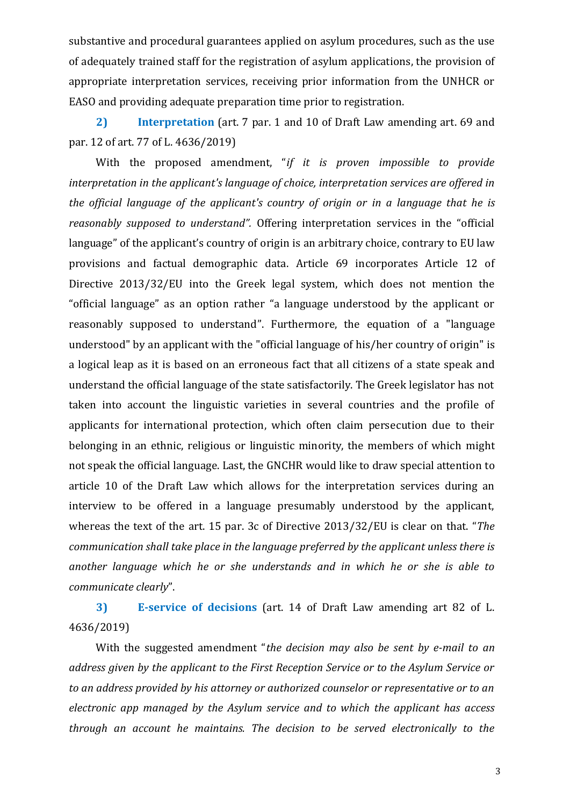substantive and procedural guarantees applied on asylum procedures, such as the use of adequately trained staff for the registration of asylum applications, the provision of appropriate interpretation services, receiving prior information from the UNHCR or EASO and providing adequate preparation time prior to registration.

**2) Interpretation** (art. 7 par. 1 and 10 of Draft Law amending art. 69 and par. 12 of art. 77 of L. 4636/2019)

With the proposed amendment, "*if it is proven impossible to provide interpretation in the applicant's language of choice, interpretation services are offered in the official language of the applicant's country of origin or in a language that he is reasonably supposed to understand".* Offering interpretation services in the "official language" of the applicant's country of origin is an arbitrary choice, contrary to EU law provisions and factual demographic data. Article 69 incorporates Article 12 of Directive 2013/32/EU into the Greek legal system, which does not mention the "official language" as an option rather "a language understood by the applicant or reasonably supposed to understand". Furthermore, the equation of a "language understood" by an applicant with the "official language of his/her country of origin" is a logical leap as it is based on an erroneous fact that all citizens of a state speak and understand the official language of the state satisfactorily. The Greek legislator has not taken into account the linguistic varieties in several countries and the profile of applicants for international protection, which often claim persecution due to their belonging in an ethnic, religious or linguistic minority, the members of which might not speak the official language. Last, the GNCHR would like to draw special attention to article 10 of the Draft Law which allows for the interpretation services during an interview to be offered in a language presumably understood by the applicant, whereas the text of the art. 15 par. 3c of Directive 2013/32/EU is clear on that. "*The communication shall take place in the language preferred by the applicant unless there is another language which he or she understands and in which he or she is able to communicate clearly*".

**3) E-service of decisions** (art. 14 of Draft Law amending art 82 of L. 4636/2019)

With the suggested amendment "*the decision may also be sent by e-mail to an address given by the applicant to the First Reception Service or to the Asylum Service or to an address provided by his attorney or authorized counselor or representative or to an electronic app managed by the Asylum service and to which the applicant has access through an account he maintains. The decision to be served electronically to the*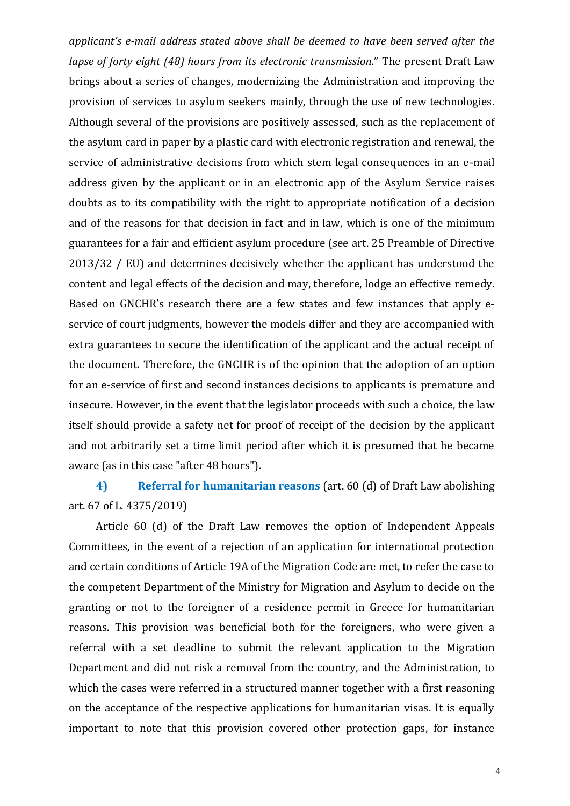*applicant's e-mail address stated above shall be deemed to have been served after the lapse of forty eight (48) hours from its electronic transmission*." The present Draft Law brings about a series of changes, modernizing the Administration and improving the provision of services to asylum seekers mainly, through the use of new technologies. Although several of the provisions are positively assessed, such as the replacement of the asylum card in paper by a plastic card with electronic registration and renewal, the service of administrative decisions from which stem legal consequences in an e-mail address given by the applicant or in an electronic app of the Asylum Service raises doubts as to its compatibility with the right to appropriate notification of a decision and of the reasons for that decision in fact and in law, which is one of the minimum guarantees for a fair and efficient asylum procedure (see art. 25 Preamble of Directive 2013/32 / EU) and determines decisively whether the applicant has understood the content and legal effects of the decision and may, therefore, lodge an effective remedy. Based on GNCHR's research there are a few states and few instances that apply eservice of court judgments, however the models differ and they are accompanied with extra guarantees to secure the identification of the applicant and the actual receipt of the document. Therefore, the GNCHR is of the opinion that the adoption of an option for an e-service of first and second instances decisions to applicants is premature and insecure. However, in the event that the legislator proceeds with such a choice, the law itself should provide a safety net for proof of receipt of the decision by the applicant and not arbitrarily set a time limit period after which it is presumed that he became aware (as in this case "after 48 hours").

**4) Referral for humanitarian reasons** (art. 60 (d) of Draft Law abolishing art. 67 of L. 4375/2019)

Article 60 (d) of the Draft Law removes the option of Independent Appeals Committees, in the event of a rejection of an application for international protection and certain conditions of Article 19A of the Migration Code are met, to refer the case to the competent Department of the Ministry for Migration and Asylum to decide on the granting or not to the foreigner of a residence permit in Greece for humanitarian reasons. This provision was beneficial both for the foreigners, who were given a referral with a set deadline to submit the relevant application to the Migration Department and did not risk a removal from the country, and the Administration, to which the cases were referred in a structured manner together with a first reasoning on the acceptance of the respective applications for humanitarian visas. It is equally important to note that this provision covered other protection gaps, for instance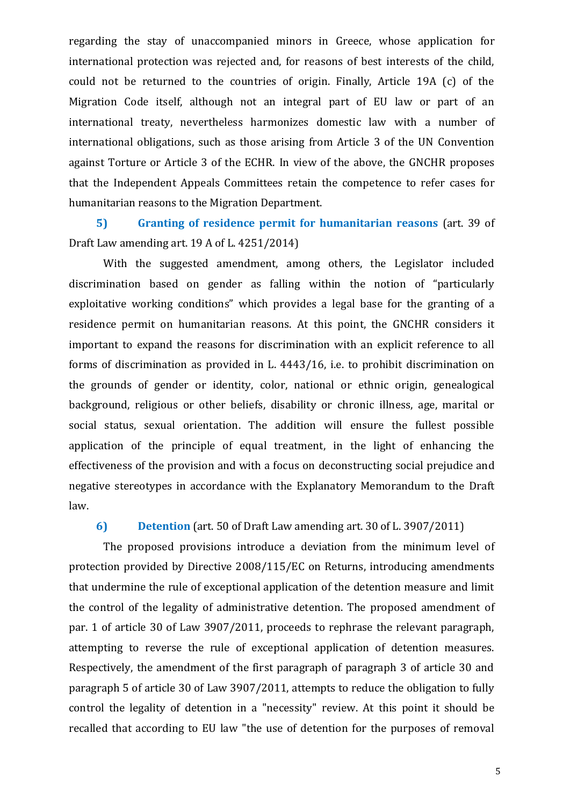regarding the stay of unaccompanied minors in Greece, whose application for international protection was rejected and, for reasons of best interests of the child, could not be returned to the countries of origin. Finally, Article 19A (c) of the Migration Code itself, although not an integral part of EU law or part of an international treaty, nevertheless harmonizes domestic law with a number of international obligations, such as those arising from Article 3 of the UN Convention against Torture or Article 3 of the ECHR. In view of the above, the GNCHR proposes that the Independent Appeals Committees retain the competence to refer cases for humanitarian reasons to the Migration Department.

**5) Granting of residence permit for humanitarian reasons** (art. 39 of Draft Law amending art. 19 A of L. 4251/2014)

With the suggested amendment, among others, the Legislator included discrimination based on gender as falling within the notion of "particularly exploitative working conditions" which provides a legal base for the granting of a residence permit on humanitarian reasons. At this point, the GNCHR considers it important to expand the reasons for discrimination with an explicit reference to all forms of discrimination as provided in L. 4443/16, i.e. to prohibit discrimination on the grounds of gender or identity, color, national or ethnic origin, genealogical background, religious or other beliefs, disability or chronic illness, age, marital or social status, sexual orientation. The addition will ensure the fullest possible application of the principle of equal treatment, in the light of enhancing the effectiveness of the provision and with a focus on deconstructing social prejudice and negative stereotypes in accordance with the Explanatory Memorandum to the Draft law.

**6) Detention** (art. 50 of Draft Law amending art. 30 of L. 3907/2011)

The proposed provisions introduce a deviation from the minimum level of protection provided by Directive 2008/115/EC on Returns, introducing amendments that undermine the rule of exceptional application of the detention measure and limit the control of the legality of administrative detention. The proposed amendment of par. 1 of article 30 of Law 3907/2011, proceeds to rephrase the relevant paragraph, attempting to reverse the rule of exceptional application of detention measures. Respectively, the amendment of the first paragraph of paragraph 3 of article 30 and paragraph 5 of article 30 of Law 3907/2011, attempts to reduce the obligation to fully control the legality of detention in a "necessity" review. At this point it should be recalled that according to EU law "the use of detention for the purposes of removal